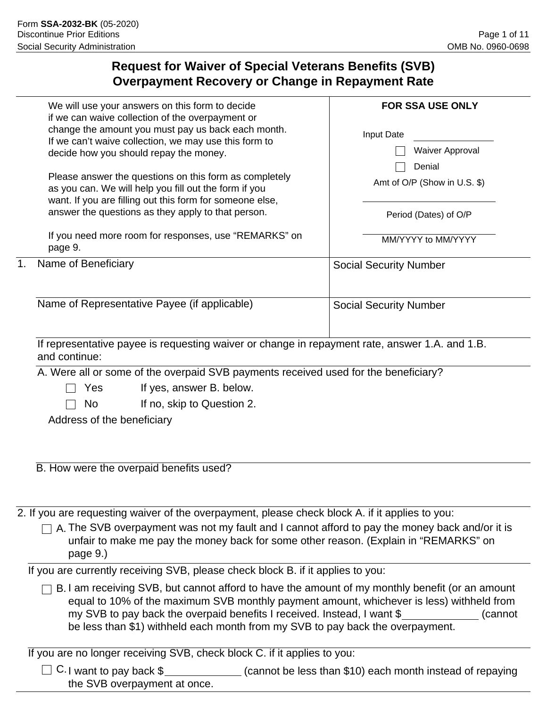# **Request for Waiver of Special Veterans Benefits (SVB) Overpayment Recovery or Change in Repayment Rate**

|    | We will use your answers on this form to decide<br>if we can waive collection of the overpayment or<br>change the amount you must pay us back each month.<br>If we can't waive collection, we may use this form to<br>decide how you should repay the money.<br>Please answer the questions on this form as completely<br>as you can. We will help you fill out the form if you<br>want. If you are filling out this form for someone else,<br>answer the questions as they apply to that person. | <b>FOR SSA USE ONLY</b><br>Input Date<br>Waiver Approval<br>Denial<br>Amt of O/P (Show in U.S. \$)<br>Period (Dates) of O/P |
|----|---------------------------------------------------------------------------------------------------------------------------------------------------------------------------------------------------------------------------------------------------------------------------------------------------------------------------------------------------------------------------------------------------------------------------------------------------------------------------------------------------|-----------------------------------------------------------------------------------------------------------------------------|
|    | If you need more room for responses, use "REMARKS" on<br>page 9.                                                                                                                                                                                                                                                                                                                                                                                                                                  | MM/YYYY to MM/YYYY                                                                                                          |
| 1. | Name of Beneficiary                                                                                                                                                                                                                                                                                                                                                                                                                                                                               | <b>Social Security Number</b>                                                                                               |
|    | Name of Representative Payee (if applicable)                                                                                                                                                                                                                                                                                                                                                                                                                                                      | <b>Social Security Number</b>                                                                                               |
|    | If representative payee is requesting waiver or change in repayment rate, answer 1.A. and 1.B.<br>and continue:                                                                                                                                                                                                                                                                                                                                                                                   |                                                                                                                             |
|    | A. Were all or some of the overpaid SVB payments received used for the beneficiary?<br>If yes, answer B. below.<br>Yes<br>If no, skip to Question 2.<br>N <sub>o</sub><br>Address of the beneficiary                                                                                                                                                                                                                                                                                              |                                                                                                                             |
|    | B. How were the overpaid benefits used?                                                                                                                                                                                                                                                                                                                                                                                                                                                           |                                                                                                                             |
|    | 2. If you are requesting waiver of the overpayment, please check block A. if it applies to you:<br>A. The SVB overpayment was not my fault and I cannot afford to pay the money back and/or it is<br>unfair to make me pay the money back for some other reason. (Explain in "REMARKS" on<br>page 9.)                                                                                                                                                                                             |                                                                                                                             |
|    | If you are currently receiving SVB, please check block B. if it applies to you:                                                                                                                                                                                                                                                                                                                                                                                                                   |                                                                                                                             |
|    | B. I am receiving SVB, but cannot afford to have the amount of my monthly benefit (or an amount<br>equal to 10% of the maximum SVB monthly payment amount, whichever is less) withheld from<br>my SVB to pay back the overpaid benefits I received. Instead, I want \$<br>be less than \$1) withheld each month from my SVB to pay back the overpayment.                                                                                                                                          | (cannot                                                                                                                     |

If you are no longer receiving SVB, check block C. if it applies to you:

 $\Box$  C. I want to pay back  $\$\_\_\_\_\_\_\_\_\_\_$  (cannot be less than \$10) each month instead of repaying the SVB overpayment at once.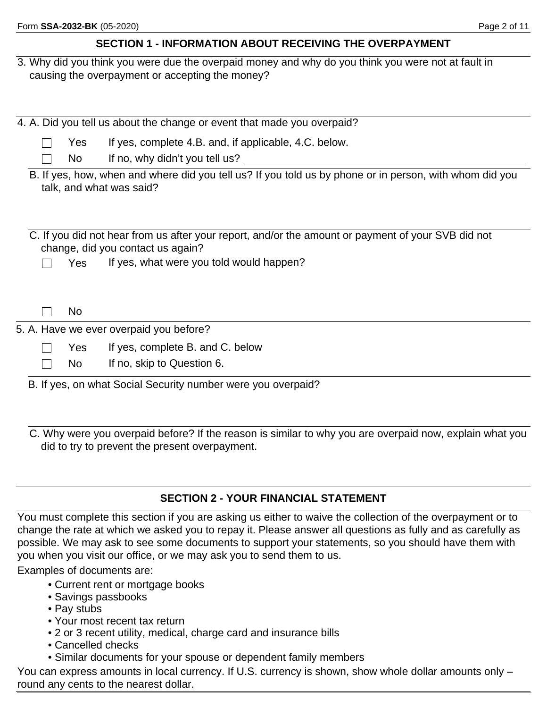## **SECTION 1 - INFORMATION ABOUT RECEIVING THE OVERPAYMENT**

3. Why did you think you were due the overpaid money and why do you think you were not at fault in causing the overpayment or accepting the money?

|                                                                                                                                                                                            |  |           | 4. A. Did you tell us about the change or event that made you overpaid?                                                             |  |  |  |  |  |
|--------------------------------------------------------------------------------------------------------------------------------------------------------------------------------------------|--|-----------|-------------------------------------------------------------------------------------------------------------------------------------|--|--|--|--|--|
|                                                                                                                                                                                            |  | Yes       | If yes, complete 4.B. and, if applicable, 4.C. below.                                                                               |  |  |  |  |  |
|                                                                                                                                                                                            |  | No        | If no, why didn't you tell us?                                                                                                      |  |  |  |  |  |
|                                                                                                                                                                                            |  |           | B. If yes, how, when and where did you tell us? If you told us by phone or in person, with whom did you<br>talk, and what was said? |  |  |  |  |  |
| C. If you did not hear from us after your report, and/or the amount or payment of your SVB did not<br>change, did you contact us again?<br>If yes, what were you told would happen?<br>Yes |  |           |                                                                                                                                     |  |  |  |  |  |
|                                                                                                                                                                                            |  | <b>No</b> |                                                                                                                                     |  |  |  |  |  |
|                                                                                                                                                                                            |  |           | 5. A. Have we ever overpaid you before?                                                                                             |  |  |  |  |  |
|                                                                                                                                                                                            |  | Yes       | If yes, complete B. and C. below                                                                                                    |  |  |  |  |  |
|                                                                                                                                                                                            |  | No        | If no, skip to Question 6.                                                                                                          |  |  |  |  |  |
|                                                                                                                                                                                            |  |           | B. If yes, on what Social Security number were you overpaid?                                                                        |  |  |  |  |  |

C. Why were you overpaid before? If the reason is similar to why you are overpaid now, explain what you did to try to prevent the present overpayment.

### **SECTION 2 - YOUR FINANCIAL STATEMENT**

You must complete this section if you are asking us either to waive the collection of the overpayment or to change the rate at which we asked you to repay it. Please answer all questions as fully and as carefully as possible. We may ask to see some documents to support your statements, so you should have them with you when you visit our office, or we may ask you to send them to us.

Examples of documents are:

- Current rent or mortgage books
- Savings passbooks
- Pay stubs
- Your most recent tax return
- 2 or 3 recent utility, medical, charge card and insurance bills
- Cancelled checks
- Similar documents for your spouse or dependent family members

You can express amounts in local currency. If U.S. currency is shown, show whole dollar amounts only – round any cents to the nearest dollar.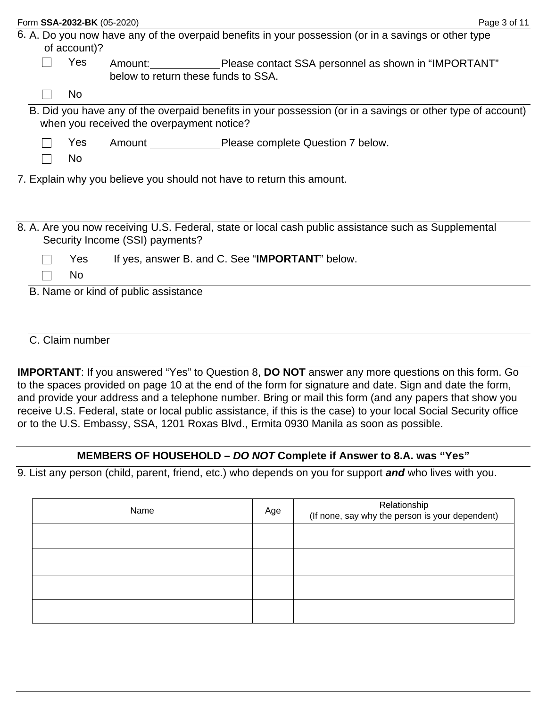|  | Form SSA-2032-BK (05-2020) |                                           |                                                                                                            | Page 3 of 11 |
|--|----------------------------|-------------------------------------------|------------------------------------------------------------------------------------------------------------|--------------|
|  | of account)?               |                                           | 6. A. Do you now have any of the overpaid benefits in your possession (or in a savings or other type       |              |
|  | Yes                        | below to return these funds to SSA.       | Amount: Please contact SSA personnel as shown in "IMPORTANT"                                               |              |
|  | <b>No</b>                  |                                           |                                                                                                            |              |
|  |                            | when you received the overpayment notice? | B. Did you have any of the overpaid benefits in your possession (or in a savings or other type of account) |              |
|  | Yes                        |                                           | Amount Please complete Question 7 below.                                                                   |              |
|  | N <sub>o</sub>             |                                           |                                                                                                            |              |
|  |                            |                                           | 7. Explain why you believe you should not have to return this amount.                                      |              |
|  |                            |                                           |                                                                                                            |              |
|  |                            | Security Income (SSI) payments?           | 8. A. Are you now receiving U.S. Federal, state or local cash public assistance such as Supplemental       |              |
|  | Yes                        |                                           | If yes, answer B. and C. See "IMPORTANT" below.                                                            |              |
|  | No                         |                                           |                                                                                                            |              |
|  |                            | B. Name or kind of public assistance      |                                                                                                            |              |
|  |                            |                                           |                                                                                                            |              |
|  |                            |                                           |                                                                                                            |              |

C. Claim number

**IMPORTANT**: If you answered "Yes" to Question 8, **DO NOT** answer any more questions on this form. Go to the spaces provided on page 10 at the end of the form for signature and date. Sign and date the form, and provide your address and a telephone number. Bring or mail this form (and any papers that show you receive U.S. Federal, state or local public assistance, if this is the case) to your local Social Security office or to the U.S. Embassy, SSA, 1201 Roxas Blvd., Ermita 0930 Manila as soon as possible.

## **MEMBERS OF HOUSEHOLD –** *DO NOT* **Complete if Answer to 8.A. was "Yes"**

9. List any person (child, parent, friend, etc.) who depends on you for support *and* who lives with you.

| Name | Age | Relationship<br>(If none, say why the person is your dependent) |
|------|-----|-----------------------------------------------------------------|
|      |     |                                                                 |
|      |     |                                                                 |
|      |     |                                                                 |
|      |     |                                                                 |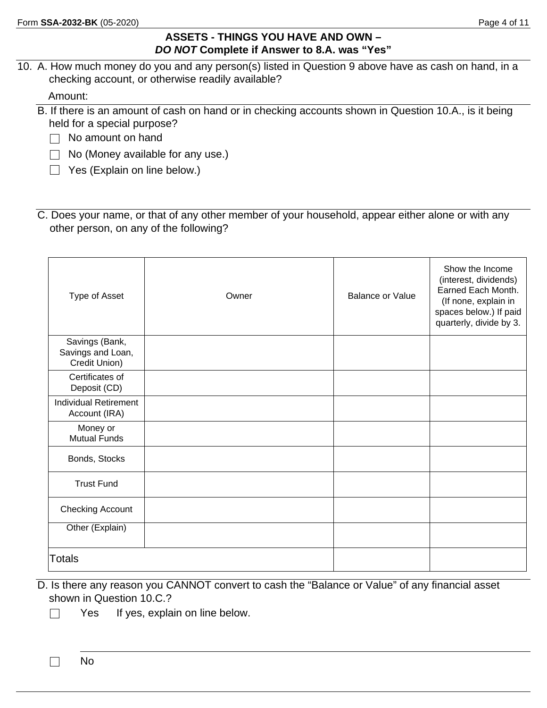#### **ASSETS - THINGS YOU HAVE AND OWN –**  *DO NOT* **Complete if Answer to 8.A. was "Yes"**

10. A. How much money do you and any person(s) listed in Question 9 above have as cash on hand, in a checking account, or otherwise readily available?

Amount:

- B. If there is an amount of cash on hand or in checking accounts shown in Question 10.A., is it being held for a special purpose?
	- $\Box$  No amount on hand
	- $\Box$  No (Money available for any use.)
	- $\Box$  Yes (Explain on line below.)
- C. Does your name, or that of any other member of your household, appear either alone or with any other person, on any of the following?

| Type of Asset                                        | Owner | <b>Balance or Value</b> | Show the Income<br>(interest, dividends)<br>Earned Each Month.<br>(If none, explain in<br>spaces below.) If paid<br>quarterly, divide by 3. |
|------------------------------------------------------|-------|-------------------------|---------------------------------------------------------------------------------------------------------------------------------------------|
| Savings (Bank,<br>Savings and Loan,<br>Credit Union) |       |                         |                                                                                                                                             |
| Certificates of<br>Deposit (CD)                      |       |                         |                                                                                                                                             |
| <b>Individual Retirement</b><br>Account (IRA)        |       |                         |                                                                                                                                             |
| Money or<br><b>Mutual Funds</b>                      |       |                         |                                                                                                                                             |
| Bonds, Stocks                                        |       |                         |                                                                                                                                             |
| <b>Trust Fund</b>                                    |       |                         |                                                                                                                                             |
| <b>Checking Account</b>                              |       |                         |                                                                                                                                             |
| Other (Explain)                                      |       |                         |                                                                                                                                             |
| <b>Totals</b>                                        |       |                         |                                                                                                                                             |

- D. Is there any reason you CANNOT convert to cash the "Balance or Value" of any financial asset shown in Question 10.C.?
	- $\Box$ Yes If yes, explain on line below.

 $\Box$ No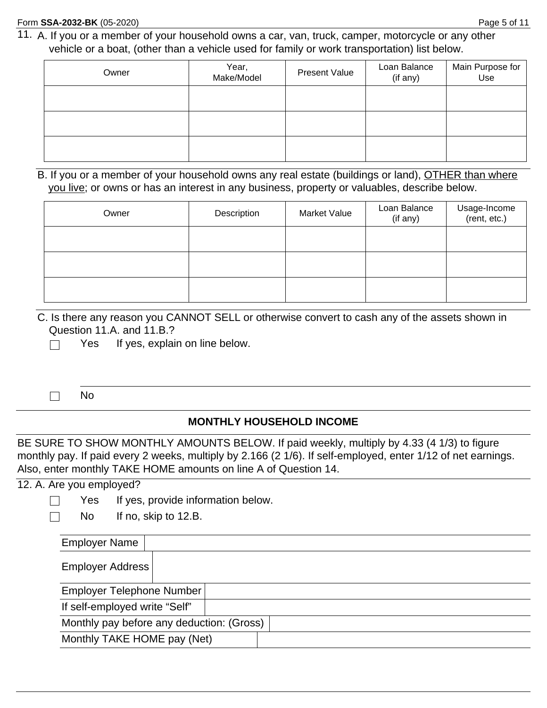11. A. If you or a member of your household owns a car, van, truck, camper, motorcycle or any other vehicle or a boat, (other than a vehicle used for family or work transportation) list below.

| Owner | Year,<br>Make/Model | <b>Present Value</b> | Loan Balance<br>(if any) | Main Purpose for<br>Use |  |
|-------|---------------------|----------------------|--------------------------|-------------------------|--|
|       |                     |                      |                          |                         |  |
|       |                     |                      |                          |                         |  |
|       |                     |                      |                          |                         |  |

#### B. If you or a member of your household owns any real estate (buildings or land), OTHER than where you live; or owns or has an interest in any business, property or valuables, describe below.

| Owner | Description | <b>Market Value</b> | Loan Balance<br>(if any) | Usage-Income<br>(rent, etc.) |  |  |
|-------|-------------|---------------------|--------------------------|------------------------------|--|--|
|       |             |                     |                          |                              |  |  |
|       |             |                     |                          |                              |  |  |
|       |             |                     |                          |                              |  |  |

C. Is there any reason you CANNOT SELL or otherwise convert to cash any of the assets shown in Question 11.A. and 11.B.?

Yes If yes, explain on line below.  $\Box$ 

 $\Box$ No

#### **MONTHLY HOUSEHOLD INCOME**

BE SURE TO SHOW MONTHLY AMOUNTS BELOW. If paid weekly, multiply by 4.33 (4 1/3) to figure monthly pay. If paid every 2 weeks, multiply by 2.166 (2 1/6). If self-employed, enter 1/12 of net earnings. Also, enter monthly TAKE HOME amounts on line A of Question 14.

#### 12. A. Are you employed?

 $\Box$ 

- Yes If yes, provide information below.
- $\Box$ No If no, skip to 12.B.

| <b>Employer Name</b>                      |  |  |  |  |  |  |  |  |  |
|-------------------------------------------|--|--|--|--|--|--|--|--|--|
| Employer Address                          |  |  |  |  |  |  |  |  |  |
| Employer Telephone Number                 |  |  |  |  |  |  |  |  |  |
| If self-employed write "Self"             |  |  |  |  |  |  |  |  |  |
| Monthly pay before any deduction: (Gross) |  |  |  |  |  |  |  |  |  |
| Monthly TAKE HOME pay (Net)               |  |  |  |  |  |  |  |  |  |
|                                           |  |  |  |  |  |  |  |  |  |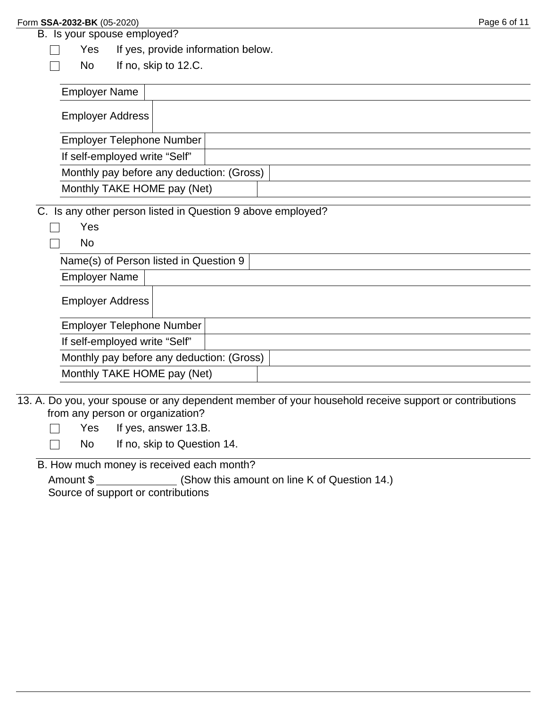$\Box$  $\Box$ 

## B. Is your spouse employed?

Yes If yes, provide information below.

No If no, skip to 12.C.

| <b>Employer Name</b>                                               |  |  |
|--------------------------------------------------------------------|--|--|
| <b>Employer Address</b>                                            |  |  |
| Employer Telephone Number                                          |  |  |
| If self-employed write "Self"                                      |  |  |
| Monthly pay before any deduction: (Gross)                          |  |  |
| Monthly TAKE HOME pay (Net)                                        |  |  |
| C. Is any other person listed in Question 9 above employed?<br>Yes |  |  |
| No.                                                                |  |  |
| Name(s) of Person listed in Question 9                             |  |  |
| <b>Employer Name</b>                                               |  |  |
| <b>Employer Address</b>                                            |  |  |

| <b>Employer Telephone Number</b>          |  |
|-------------------------------------------|--|
| If self-employed write "Self"             |  |
| Monthly pay before any deduction: (Gross) |  |
| Monthly TAKE HOME pay (Net)               |  |

13. A. Do you, your spouse or any dependent member of your household receive support or contributions from any person or organization?

Yes If yes, answer 13.B.  $\Box$ 

No If no, skip to Question 14.  $\Box$ 

B. How much money is received each month?

Amount \$ (Show this amount on line K of Question 14.) Source of support or contributions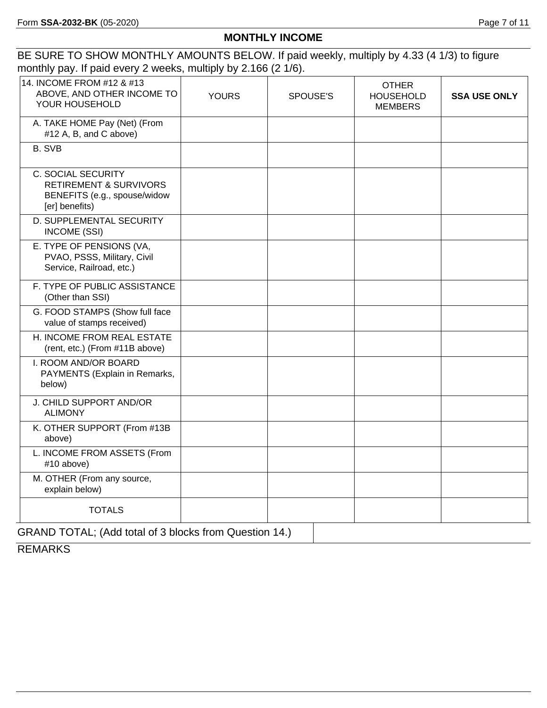## **MONTHLY INCOME**

BE SURE TO SHOW MONTHLY AMOUNTS BELOW. If paid weekly, multiply by 4.33 (4 1/3) to figure monthly pay. If paid every 2 weeks, multiply by 2.166 (2 1/6).

| 14. INCOME FROM #12 & #13<br>ABOVE, AND OTHER INCOME TO<br>YOUR HOUSEHOLD                                 | <b>YOURS</b> | SPOUSE'S      | <b>OTHER</b><br><b>HOUSEHOLD</b><br><b>MEMBERS</b> | <b>SSA USE ONLY</b> |
|-----------------------------------------------------------------------------------------------------------|--------------|---------------|----------------------------------------------------|---------------------|
| A. TAKE HOME Pay (Net) (From<br>#12 A, B, and C above)                                                    |              |               |                                                    |                     |
| <b>B. SVB</b>                                                                                             |              |               |                                                    |                     |
| C. SOCIAL SECURITY<br><b>RETIREMENT &amp; SURVIVORS</b><br>BENEFITS (e.g., spouse/widow<br>[er] benefits) |              |               |                                                    |                     |
| D. SUPPLEMENTAL SECURITY<br><b>INCOME (SSI)</b>                                                           |              |               |                                                    |                     |
| E. TYPE OF PENSIONS (VA,<br>PVAO, PSSS, Military, Civil<br>Service, Railroad, etc.)                       |              |               |                                                    |                     |
| F. TYPE OF PUBLIC ASSISTANCE<br>(Other than SSI)                                                          |              |               |                                                    |                     |
| G. FOOD STAMPS (Show full face<br>value of stamps received)                                               |              |               |                                                    |                     |
| H. INCOME FROM REAL ESTATE<br>(rent, etc.) (From #11B above)                                              |              |               |                                                    |                     |
| I. ROOM AND/OR BOARD<br>PAYMENTS (Explain in Remarks,<br>below)                                           |              |               |                                                    |                     |
| J. CHILD SUPPORT AND/OR<br><b>ALIMONY</b>                                                                 |              |               |                                                    |                     |
| K. OTHER SUPPORT (From #13B<br>above)                                                                     |              |               |                                                    |                     |
| L. INCOME FROM ASSETS (From<br>#10 above)                                                                 |              |               |                                                    |                     |
| M. OTHER (From any source,<br>explain below)                                                              |              |               |                                                    |                     |
| <b>TOTALS</b>                                                                                             |              | $\sim$ $\sim$ |                                                    |                     |

GRAND TOTAL; (Add total of 3 blocks from Question 14.)

**REMARKS**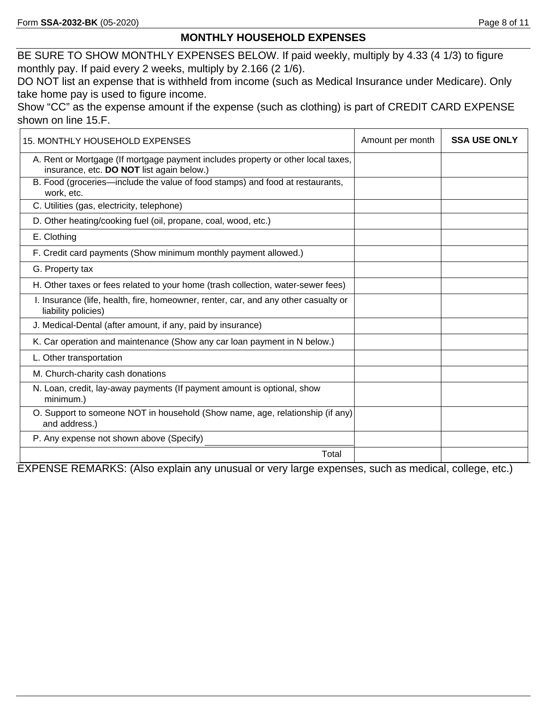#### **MONTHLY HOUSEHOLD EXPENSES**

BE SURE TO SHOW MONTHLY EXPENSES BELOW. If paid weekly, multiply by 4.33 (4 1/3) to figure monthly pay. If paid every 2 weeks, multiply by 2.166 (2 1/6).

DO NOT list an expense that is withheld from income (such as Medical Insurance under Medicare). Only take home pay is used to figure income.

Show "CC" as the expense amount if the expense (such as clothing) is part of CREDIT CARD EXPENSE shown on line 15.F.

| 15. MONTHLY HOUSEHOLD EXPENSES                                                                                                | Amount per month | <b>SSA USE ONLY</b> |
|-------------------------------------------------------------------------------------------------------------------------------|------------------|---------------------|
| A. Rent or Mortgage (If mortgage payment includes property or other local taxes,<br>insurance, etc. DO NOT list again below.) |                  |                     |
| B. Food (groceries—include the value of food stamps) and food at restaurants,<br>work, etc.                                   |                  |                     |
| C. Utilities (gas, electricity, telephone)                                                                                    |                  |                     |
| D. Other heating/cooking fuel (oil, propane, coal, wood, etc.)                                                                |                  |                     |
| E. Clothing                                                                                                                   |                  |                     |
| F. Credit card payments (Show minimum monthly payment allowed.)                                                               |                  |                     |
| G. Property tax                                                                                                               |                  |                     |
| H. Other taxes or fees related to your home (trash collection, water-sewer fees)                                              |                  |                     |
| I. Insurance (life, health, fire, homeowner, renter, car, and any other casualty or<br>liability policies)                    |                  |                     |
| J. Medical-Dental (after amount, if any, paid by insurance)                                                                   |                  |                     |
| K. Car operation and maintenance (Show any car loan payment in N below.)                                                      |                  |                     |
| L. Other transportation                                                                                                       |                  |                     |
| M. Church-charity cash donations                                                                                              |                  |                     |
| N. Loan, credit, lay-away payments (If payment amount is optional, show<br>minimum.)                                          |                  |                     |
| O. Support to someone NOT in household (Show name, age, relationship (if any)<br>and address.)                                |                  |                     |
| P. Any expense not shown above (Specify)                                                                                      |                  |                     |
| Total                                                                                                                         |                  |                     |

EXPENSE REMARKS: (Also explain any unusual or very large expenses, such as medical, college, etc.)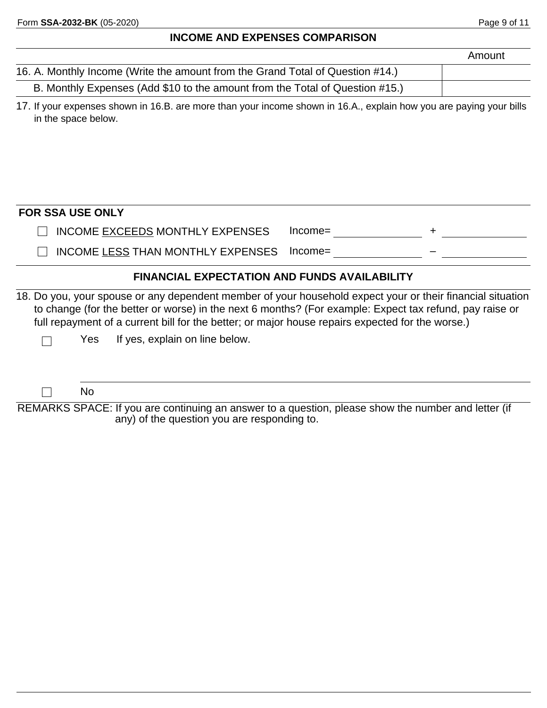#### **INCOME AND EXPENSES COMPARISON**

| 16. A. Monthly Income (Write the amount from the Grand Total of Question #14.) |  |
|--------------------------------------------------------------------------------|--|
| B. Monthly Expenses (Add \$10 to the amount from the Total of Question #15.)   |  |

17. If your expenses shown in 16.B. are more than your income shown in 16.A., explain how you are paying your bills in the space below.

| INCOME EXCEEDS MONTHLY EXPENSES |  |  |
|---------------------------------|--|--|
|                                 |  |  |

 $\Box$  INCOME LESS THAN MONTHLY EXPENSES Income=

#### **FINANCIAL EXPECTATION AND FUNDS AVAILABILITY**

18. Do you, your spouse or any dependent member of your household expect your or their financial situation to change (for the better or worse) in the next 6 months? (For example: Expect tax refund, pay raise or full repayment of a current bill for the better; or major house repairs expected for the worse.)

Yes If yes, explain on line below.

No

 $\Box$ 

 $\Box$ 

REMARKS SPACE: If you are continuing an answer to a question, please show the number and letter (if any) of the question you are responding to.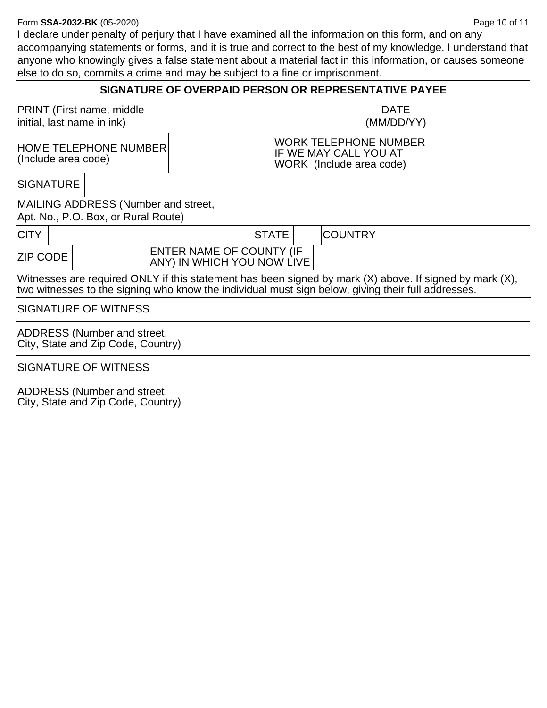#### Form **SSA-2032-BK** (05-2020) Page 10 of 11

I declare under penalty of perjury that I have examined all the information on this form, and on any accompanying statements or forms, and it is true and correct to the best of my knowledge. I understand that anyone who knowingly gives a false statement about a material fact in this information, or causes someone else to do so, commits a crime and may be subject to a fine or imprisonment.

| PRINT (First name, middle<br><b>DATE</b><br>initial, last name in ink)<br>(MM/DD/YY)<br><b>WORK TELEPHONE NUMBER</b><br><b>HOME TELEPHONE NUMBER</b><br>IF WE MAY CALL YOU AT<br>(Include area code)<br>WORK (Include area code)<br><b>SIGNATURE</b><br><b>MAILING ADDRESS (Number and street,</b><br>Apt. No., P.O. Box, or Rural Route)<br><b>COUNTRY</b><br><b>CITY</b><br><b>STATE</b><br>ENTER NAME OF COUNTY (IF<br><b>ZIP CODE</b><br>ANY) IN WHICH YOU NOW LIVE<br>Witnesses are required ONLY if this statement has been signed by mark $(X)$ above. If signed by mark $(X)$ ,<br>two witnesses to the signing who know the individual must sign below, giving their full addresses.<br>SIGNATURE OF WITNESS<br>ADDRESS (Number and street,<br>City, State and Zip Code, Country)<br>SIGNATURE OF WITNESS<br>ADDRESS (Number and street,<br>City, State and Zip Code, Country) |  | SIGNATURE OF OVERPAID PERSON OR REPRESENTATIVE PAYEE |  |  |  |  |  |  |  |  |
|-----------------------------------------------------------------------------------------------------------------------------------------------------------------------------------------------------------------------------------------------------------------------------------------------------------------------------------------------------------------------------------------------------------------------------------------------------------------------------------------------------------------------------------------------------------------------------------------------------------------------------------------------------------------------------------------------------------------------------------------------------------------------------------------------------------------------------------------------------------------------------------------|--|------------------------------------------------------|--|--|--|--|--|--|--|--|
|                                                                                                                                                                                                                                                                                                                                                                                                                                                                                                                                                                                                                                                                                                                                                                                                                                                                                         |  |                                                      |  |  |  |  |  |  |  |  |
|                                                                                                                                                                                                                                                                                                                                                                                                                                                                                                                                                                                                                                                                                                                                                                                                                                                                                         |  |                                                      |  |  |  |  |  |  |  |  |
|                                                                                                                                                                                                                                                                                                                                                                                                                                                                                                                                                                                                                                                                                                                                                                                                                                                                                         |  |                                                      |  |  |  |  |  |  |  |  |
|                                                                                                                                                                                                                                                                                                                                                                                                                                                                                                                                                                                                                                                                                                                                                                                                                                                                                         |  |                                                      |  |  |  |  |  |  |  |  |
|                                                                                                                                                                                                                                                                                                                                                                                                                                                                                                                                                                                                                                                                                                                                                                                                                                                                                         |  |                                                      |  |  |  |  |  |  |  |  |
|                                                                                                                                                                                                                                                                                                                                                                                                                                                                                                                                                                                                                                                                                                                                                                                                                                                                                         |  |                                                      |  |  |  |  |  |  |  |  |
|                                                                                                                                                                                                                                                                                                                                                                                                                                                                                                                                                                                                                                                                                                                                                                                                                                                                                         |  |                                                      |  |  |  |  |  |  |  |  |
|                                                                                                                                                                                                                                                                                                                                                                                                                                                                                                                                                                                                                                                                                                                                                                                                                                                                                         |  |                                                      |  |  |  |  |  |  |  |  |
|                                                                                                                                                                                                                                                                                                                                                                                                                                                                                                                                                                                                                                                                                                                                                                                                                                                                                         |  |                                                      |  |  |  |  |  |  |  |  |
|                                                                                                                                                                                                                                                                                                                                                                                                                                                                                                                                                                                                                                                                                                                                                                                                                                                                                         |  |                                                      |  |  |  |  |  |  |  |  |
|                                                                                                                                                                                                                                                                                                                                                                                                                                                                                                                                                                                                                                                                                                                                                                                                                                                                                         |  |                                                      |  |  |  |  |  |  |  |  |